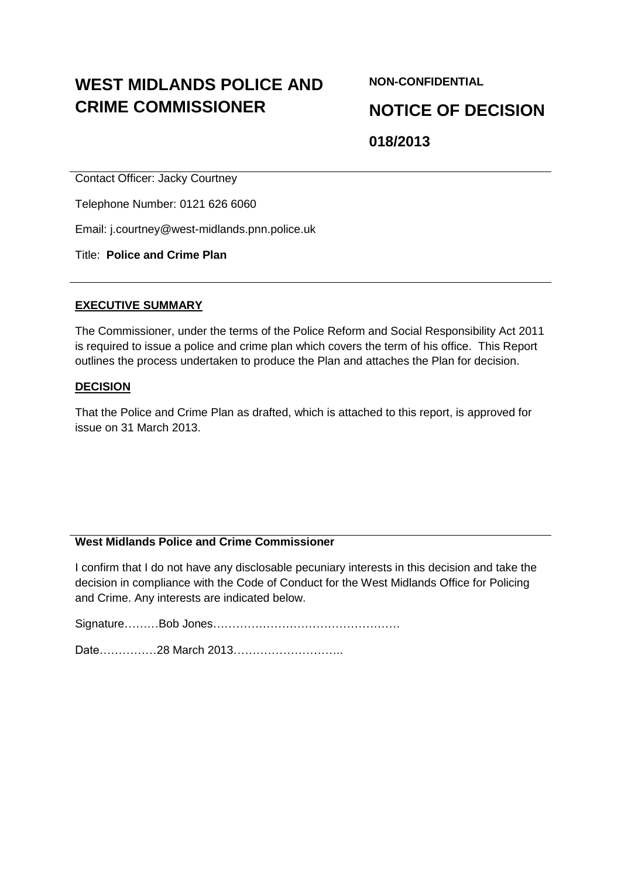# **WEST MIDLANDS POLICE AND CRIME COMMISSIONER**

**NON-CONFIDENTIAL**

**NOTICE OF DECISION**

**018/2013**

Contact Officer: Jacky Courtney

Telephone Number: 0121 626 6060

Email: j.courtney@west-midlands.pnn.police.uk

Title: **Police and Crime Plan**

#### **EXECUTIVE SUMMARY**

The Commissioner, under the terms of the Police Reform and Social Responsibility Act 2011 is required to issue a police and crime plan which covers the term of his office. This Report outlines the process undertaken to produce the Plan and attaches the Plan for decision.

#### **DECISION**

That the Police and Crime Plan as drafted, which is attached to this report, is approved for issue on 31 March 2013.

# **West Midlands Police and Crime Commissioner**

I confirm that I do not have any disclosable pecuniary interests in this decision and take the decision in compliance with the Code of Conduct for the West Midlands Office for Policing and Crime. Any interests are indicated below.

Signature………Bob Jones………………………………………….

Date……………28 March 2013………………………..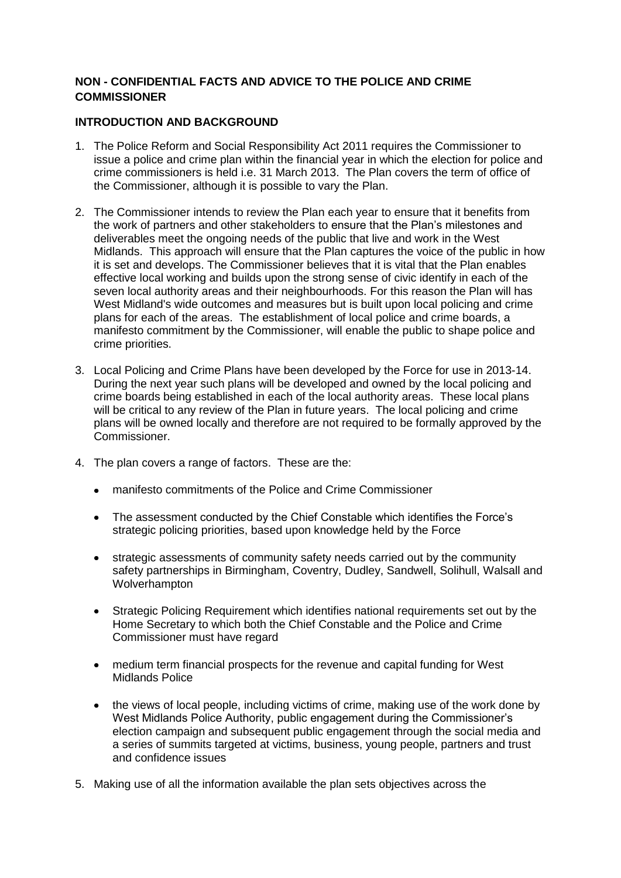# **NON - CONFIDENTIAL FACTS AND ADVICE TO THE POLICE AND CRIME COMMISSIONER**

## **INTRODUCTION AND BACKGROUND**

- 1. The Police Reform and Social Responsibility Act 2011 requires the Commissioner to issue a police and crime plan within the financial year in which the election for police and crime commissioners is held i.e. 31 March 2013. The Plan covers the term of office of the Commissioner, although it is possible to vary the Plan.
- 2. The Commissioner intends to review the Plan each year to ensure that it benefits from the work of partners and other stakeholders to ensure that the Plan's milestones and deliverables meet the ongoing needs of the public that live and work in the West Midlands. This approach will ensure that the Plan captures the voice of the public in how it is set and develops. The Commissioner believes that it is vital that the Plan enables effective local working and builds upon the strong sense of civic identify in each of the seven local authority areas and their neighbourhoods. For this reason the Plan will has West Midland's wide outcomes and measures but is built upon local policing and crime plans for each of the areas. The establishment of local police and crime boards, a manifesto commitment by the Commissioner, will enable the public to shape police and crime priorities.
- 3. Local Policing and Crime Plans have been developed by the Force for use in 2013-14. During the next year such plans will be developed and owned by the local policing and crime boards being established in each of the local authority areas. These local plans will be critical to any review of the Plan in future years. The local policing and crime plans will be owned locally and therefore are not required to be formally approved by the Commissioner.
- 4. The plan covers a range of factors. These are the:
	- manifesto commitments of the Police and Crime Commissioner
	- The assessment conducted by the Chief Constable which identifies the Force's strategic policing priorities, based upon knowledge held by the Force
	- strategic assessments of community safety needs carried out by the community  $\bullet$ safety partnerships in Birmingham, Coventry, Dudley, Sandwell, Solihull, Walsall and Wolverhampton
	- Strategic Policing Requirement which identifies national requirements set out by the  $\bullet$ Home Secretary to which both the Chief Constable and the Police and Crime Commissioner must have regard
	- medium term financial prospects for the revenue and capital funding for West Midlands Police
	- the views of local people, including victims of crime, making use of the work done by West Midlands Police Authority, public engagement during the Commissioner's election campaign and subsequent public engagement through the social media and a series of summits targeted at victims, business, young people, partners and trust and confidence issues
- 5. Making use of all the information available the plan sets objectives across the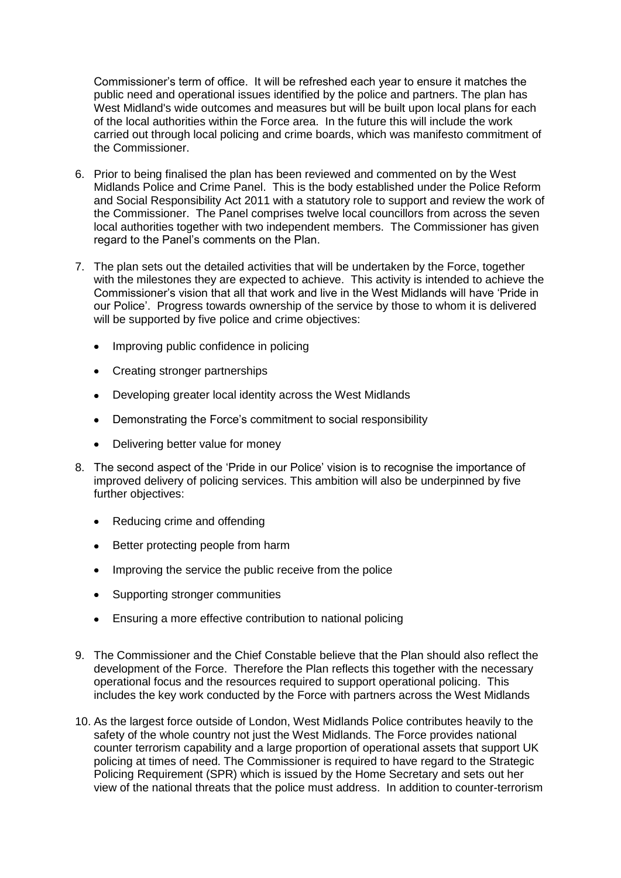Commissioner's term of office. It will be refreshed each year to ensure it matches the public need and operational issues identified by the police and partners. The plan has West Midland's wide outcomes and measures but will be built upon local plans for each of the local authorities within the Force area. In the future this will include the work carried out through local policing and crime boards, which was manifesto commitment of the Commissioner.

- 6. Prior to being finalised the plan has been reviewed and commented on by the West Midlands Police and Crime Panel. This is the body established under the Police Reform and Social Responsibility Act 2011 with a statutory role to support and review the work of the Commissioner. The Panel comprises twelve local councillors from across the seven local authorities together with two independent members. The Commissioner has given regard to the Panel's comments on the Plan.
- 7. The plan sets out the detailed activities that will be undertaken by the Force, together with the milestones they are expected to achieve. This activity is intended to achieve the Commissioner's vision that all that work and live in the West Midlands will have 'Pride in our Police'. Progress towards ownership of the service by those to whom it is delivered will be supported by five police and crime objectives:
	- Improving public confidence in policing  $\bullet$
	- $\bullet$ Creating stronger partnerships
	- $\bullet$ Developing greater local identity across the West Midlands
	- Demonstrating the Force's commitment to social responsibility  $\bullet$
	- Delivering better value for money
- 8. The second aspect of the 'Pride in our Police' vision is to recognise the importance of improved delivery of policing services. This ambition will also be underpinned by five further objectives:
	- $\bullet$ Reducing crime and offending
	- $\bullet$ Better protecting people from harm
	- Improving the service the public receive from the police  $\bullet$
	- $\bullet$ Supporting stronger communities
	- Ensuring a more effective contribution to national policing
- 9. The Commissioner and the Chief Constable believe that the Plan should also reflect the development of the Force. Therefore the Plan reflects this together with the necessary operational focus and the resources required to support operational policing. This includes the key work conducted by the Force with partners across the West Midlands
- 10. As the largest force outside of London, West Midlands Police contributes heavily to the safety of the whole country not just the West Midlands. The Force provides national counter terrorism capability and a large proportion of operational assets that support UK policing at times of need. The Commissioner is required to have regard to the Strategic Policing Requirement (SPR) which is issued by the Home Secretary and sets out her view of the national threats that the police must address. In addition to counter-terrorism